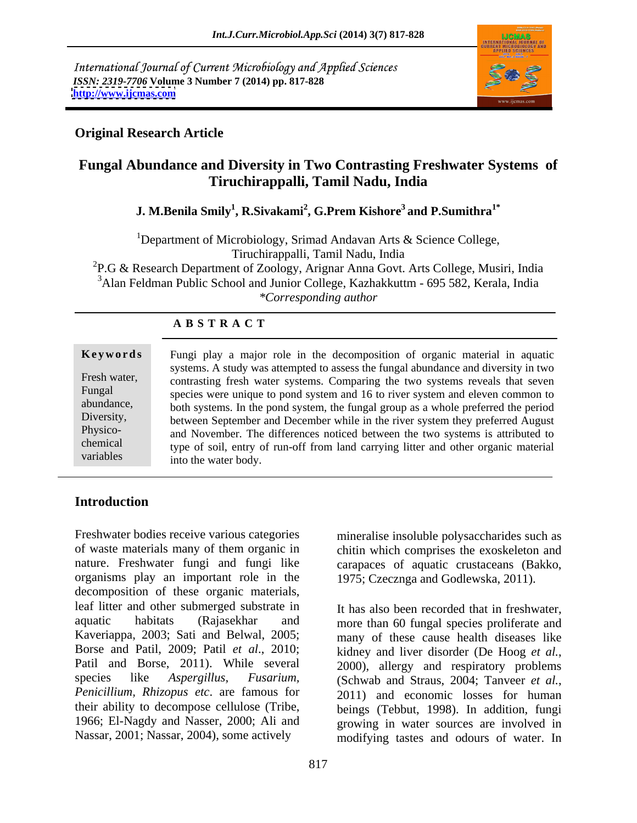International Journal of Current Microbiology and Applied Sciences *ISSN: 2319-7706* **Volume 3 Number 7 (2014) pp. 817-828 <http://www.ijcmas.com>**



# **Original Research Article**

# **Fungal Abundance and Diversity in Two Contrasting Freshwater Systems of Tiruchirappalli, Tamil Nadu, India**

### **J. M.Benila Smily<sup>1</sup> , R.Sivakami<sup>2</sup> , G.Prem Kishore<sup>3</sup> and P.Sumithra1\***

<sup>1</sup>Department of Microbiology, Srimad Andavan Arts  $\&$  Science College, Tiruchirappalli, Tamil Nadu, India <sup>2</sup>P.G & Research Department of Zoology, Arignar Anna Govt. Arts College, Musiri, India

<sup>3</sup>Alan Feldman Public School and Junior College, Kazhakkuttm - 695 582, Kerala, India *\*Corresponding author* 

|              | Keywords Fungi play a major role in the decomposition of organic material in aquatic |  |  |
|--------------|--------------------------------------------------------------------------------------|--|--|
|              | systems. A study was attempted to assess the fungal abundance and diversity in two   |  |  |
| Fresh water, | contrasting fresh water systems. Comparing the two systems reveals that seven        |  |  |
| Fungal       | species were unique to pond system and 16 to river system and eleven common to       |  |  |
| abundance,   | both systems. In the pond system, the fungal group as a whole preferred the period   |  |  |
| Diversity,   | between September and December while in the river system they preferred August       |  |  |
| Physico-     | and November. The differences noticed between the two systems is attributed to       |  |  |
| chemical     | type of soil, entry of run-off from land carrying litter and other organic material  |  |  |
| variables    | into the water body.                                                                 |  |  |

## **Introduction**

Freshwater bodies receive various categories mineralise insoluble polysaccharides such as of waste materials many of them organic in chitin which comprises the exoskeleton and nature. Freshwater fungi and fungi like carapaces of aquatic crustaceans (Bakko, organisms play an important role in the decomposition of these organic materials, leaf litter and other submerged substrate in aquatic habitats (Rajasekhar and more than 60 fungal species proliferate and Kaveriappa, 2003; Sati and Belwal, 2005; many of these cause health diseases like Borse and Patil, 2009; Patil *et al.*, 2010; kidney and liver disorder (De Hoog *et al.*, Patil and Borse, 2011). While several 2000), allergy and respiratory problems species like *Aspergillus, Fusarium*, (Schwab and Straus, 2004; Tanveer et al., *Penicillium, Rhizopus etc*. are famous for their ability to decompose cellulose (Tribe, beings (Tebbut, 1998). In addition, fungi 1966; El-Nagdy and Nasser, 2000; Ali and growing in water sources are involved in

1975; Czecznga and Godlewska, 2011).

Nassar, 2001; Nassar, 2004), some actively modifying tastes and odours of water. In It has also been recorded that in freshwater, kidney and liver disorder (De Hoog *et al.*, 2000), allergy and respiratory problems (Schwab and Straus, 2004; Tanveer *et al.*, 2011) and economic losses for human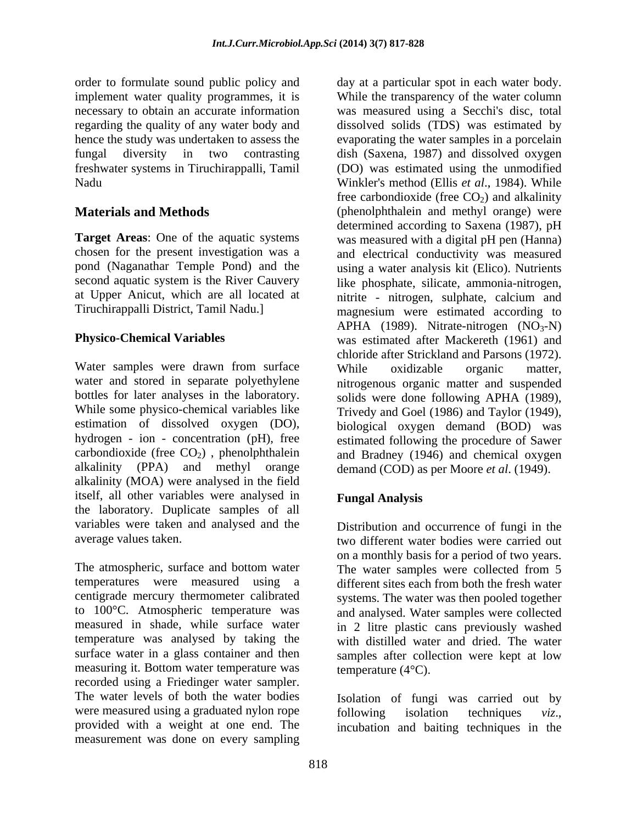order to formulate sound public policy and hence the study was undertaken to assess the

Water samples were drawn from surface While oxidizable organic matter, alkalinity (PPA) and methyl orange demand (COD) as per Moore *et al*. (1949). alkalinity (MOA) were analysed in the field itself, all other variables were analysed in the laboratory. Duplicate samples of all variables were taken and analysed and the

The atmospheric, surface and bottom water The water samples were collected from 5 temperatures were measured using a different sites each from both the fresh water centigrade mercury thermometer calibrated systems. The water was then pooled together to 100°C. Atmospheric temperature was and analysed. Water samples were collected measured in shade, while surface water in 2 litre plastic cans previously washed temperature was analysed by taking the with distilled water and dried. The water surface water in a glass container and then samples after collection were kept at low measuring it. Bottom water temperature was recorded using a Friedinger water sampler. The water levels of both the water bodies Isolation of fungi was carried out by were measured using a graduated nylon rope following isolation techniques viz., provided with a weight at one end. The incubation and baiting techniques in the measurement was done on every sampling

implement water quality programmes, it is While the transparency of the water column necessary to obtain an accurate information was measured using a Secchi's disc, total regarding the quality of any water body and dissolved solids (TDS) was estimated by fungal diversity in two contrasting dish (Saxena, 1987) and dissolved oxygen freshwater systems in Tiruchirappalli, Tamil (DO) was estimated using the unmodified Nadu Winkler's method (Ellis *et al*., 1984). While **Materials and Methods** (phenolphthalein and methyl orange) were **Target Areas:** One of the aquatic systems was measured with a digital pH pen (Hanna) chosen for the present investigation was a and electrical conductivity was measured pond (Naganathar Temple Pond) and the using a water analysis kit (Elico). Nutrients second aquatic system is the River Cauvery like phosphate, silicate, ammonia-nitrogen, at Upper Anicut, which are all located at nitrite - nitrogen, sulphate, calcium and Tiruchirappalli District, Tamil Nadu.] magnesium were estimated according to **Physico-Chemical Variables**  was estimated after Mackereth (1961) and water and stored in separate polyethylene nitrogenous organic matter and suspended bottles for later analyses in the laboratory. solids were done following APHA (1989), While some physico-chemical variables like Trivedy and Goel (1986) and Taylor (1949), estimation of dissolved oxygen (DO), biological oxygen demand (BOD) was hydrogen - ion - concentration (pH), free estimated following the procedure of Sawer carbondioxide (free  $CO<sub>2</sub>$ ), phenolphthalein and Bradney (1946) and chemical oxygen day at a particular spot in each water body. evaporating the water samples in a porcelain free carbondioxide (free  $CO<sub>2</sub>$ ) and alkalinity determined according to Saxena (1987), pH APHA (1989). Nitrate-nitrogen  $(NO<sub>3</sub>-N)$ chloride after Strickland and Parsons (1972). While oxidizable organic matter,

### **Fungal Analysis**

average values taken. two different water bodies were carried out Distribution and occurrence of fungi in the on a monthly basis for a period of two years. temperature (4°C).

following isolation techniques *viz*., incubation and baiting techniques in the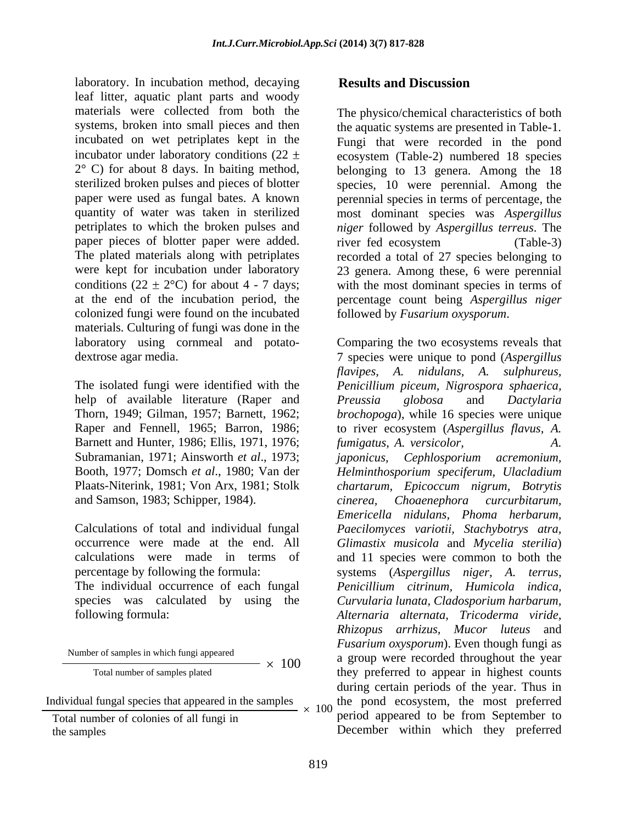laboratory. In incubation method, decaying **Results and Discussion** leaf litter, aquatic plant parts and woody materials were collected from both the The physico/chemical characteristics of both systems, broken into small pieces and then the aquatic systems are presented in Table-1. incubated on wet petriplates kept in the incubator under laboratory conditions  $(22 \pm \csc)$  ecosystem (Table-2) numbered 18 species 2° C) for about 8 days. In baiting method, belonging to 13 genera. Among the 18 sterilized broken pulses and pieces of blotter species, 10 were perennial. Among the paper were used as fungal bates. A known perennial species in terms of percentage, the quantity of water was taken in sterilized most dominant species was *Aspergillus*  petriplates to which the broken pulses and *niger* followed by *Aspergillus terreus*. The paper pieces of blotter paper were added. river fed ecosystem (Table-3) The plated materials along with petriplates recorded a total of 27 species belonging to were kept for incubation under laboratory 23 genera. Among these, 6 were perennial conditions  $(22 \pm 2^{\circ}C)$  for about 4 - 7 days; with the most dominant species in terms of at the end of the incubation period, the percentage count being *Aspergillus niger* colonized fungi were found on the incubated materials. Culturing of fungi was done in the

help of available literature (Raper and Preussia globosa and Dactylaria Barnett and Hunter, 1986; Ellis, 1971, 1976; fumigatus, A. versicolor,  $A$ . Subramanian, 1971; Ainsworth *et al*., 1973; and Samson, 1983; Schipper, 1984).

species was calculated by using the

Number of samples in which fungi appeared

Individual fungal species that appeared in the samples  $\times$  100

Total number of colonies of all fungi in

### **Results and Discussion**

Fungi that were recorded in the pond belonging to 13 genera. Among the 18 species, 10 were perennial. Among the river fed ecosystem (Table-3) followed by *Fusarium oxysporum*.

laboratory using cornmeal and potato- Comparing the two ecosystems reveals that dextrose agar media. 7 species were unique to pond (*Aspergillus*  The isolated fungi were identified with the *Penicillium piceum, Nigrospora sphaerica,* Thorn, 1949; Gilman, 1957; Barnett, 1962; *brochopoga*), while 16 species were unique Raper and Fennell, 1965; Barron, 1986; to river ecosystem (*Aspergillus flavus, A.* Booth, 1977; Domsch *et al*., 1980; Van der *Helminthosporium speciferum, Ulacladium* Plaats-Niterink, 1981; Von Arx, 1981; Stolk *chartarum, Epicoccum nigrum, Botrytis* Calculations of total and individual fungal *Paecilomyces variotii, Stachybotrys atra,* occurrence were made at the end. All *Glimastix musicola* and *Mycelia sterilia*) calculations were made in terms of and 11 species were common to both the percentage by following the formula: systems (*Aspergillus niger, A. terrus,* The individual occurrence of each fungal *Penicillium citrinum, Humicola indica,* following formula: *Alternaria alternata, Tricoderma viride, flavipes, A. nidulans, A. sulphureus, Preussia globosa* and *Dactylaria*   $f$ *umigatus, A. versicolor, japonicus, Cephlosporium acremonium, cinerea, Choaenephora curcurbitarum, Emericella nidulans, Phoma herbarum, Curvularia lunata, Cladosporium harbarum, Rhizopus arrhizus, Mucor luteus* and *Fusarium oxysporum*). Even though fungi as a group were recorded throughout the year Total number of samples plated to appear in highest counts they preferred to appear in highest counts during certain periods of the year. Thus in the pond ecosystem, the most preferred period appeared to be from September to December within which they preferred the samples 100 a group were recorded infoughout the year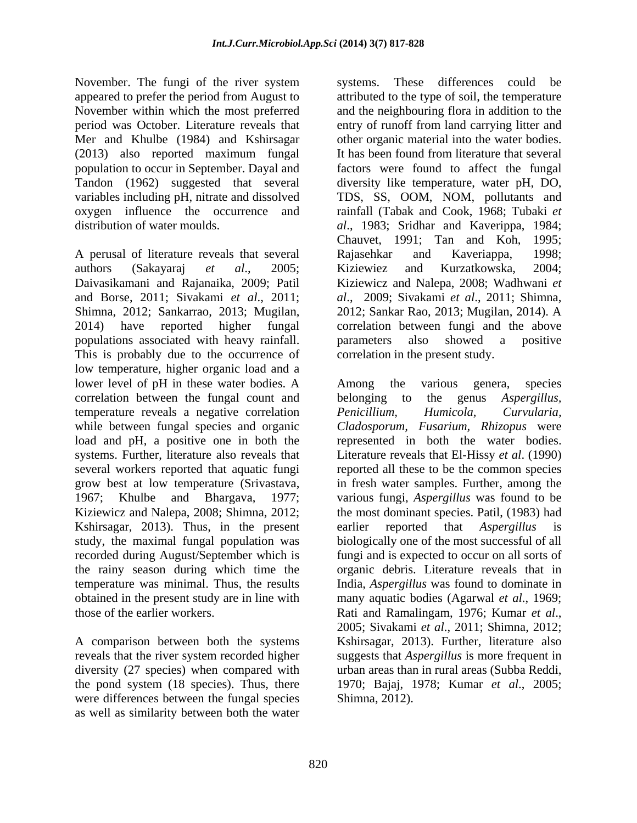November. The fungi of the river system systems. These differences could be (2013) also reported maximum fungal population to occur in September. Dayal and

A perusal of literature reveals that several and Rajasehkar and Kaveriappa, 1998; authors (Sakayaraj *et al*., 2005; Daivasikamani and Rajanaika, 2009; Patil Kiziewicz and Nalepa, 2008; Wadhwani *et*  and Borse, 2011; Sivakami *et al*., 2011; *al*., 2009; Sivakami *et al*., 2011; Shimna, Shimna, 2012; Sankarrao, 2013; Mugilan, 2012; Sankar Rao, 2013; Mugilan, 2014). A 2014) have reported higher fungal correlation between fungi and the above populations associated with heavy rainfall. This is probably due to the occurrence of low temperature, higher organic load and a lower level of pH in these water bodies. A Among the various genera, species correlation between the fungal count and belonging to the genus *Aspergillus*, temperature reveals a negative correlation *Penicillium*, *Humicola*, *Curvularia*, while between fungal species and organic load and pH, a positive one in both the systems. Further, literature also reveals that Literature reveals that El-Hissy *et al*. (1990) several workers reported that aquatic fungi reported all these to be the common species grow best at low temperature (Srivastava, in fresh water samples. Further, among the 1967; Khulbe and Bhargava, 1977; various fungi, *Aspergillus* was found to be Kiziewicz and Nalepa, 2008; Shimna, 2012; the most dominant species. Patil, (1983) had Kshirsagar, 2013). Thus, in the present earlier reported that Aspergillus is study, the maximal fungal population was biologically one of the most successful of all recorded during August/September which is fungi and is expected to occur on all sorts of the rainy season during which time the organic debris. Literature reveals that in temperature was minimal. Thus, the results India, *Aspergillus* was found to dominate in obtained in the present study are in line with those of the earlier workers. Rati and Ramalingam, 1976; Kumar et al.,

reveals that the river system recorded higher diversity (27 species) when compared with the pond system (18 species). Thus, there were differences between the fungal species as well as similarity between both the water

appeared to prefer the period from August to attributed to the type of soil, the temperature November within which the most preferred and the neighbouring flora in addition to the period was October. Literature reveals that entry of runoff from land carrying litter and Mer and Khulbe (1984) and Kshirsagar other organic material into the water bodies. Tandon (1962) suggested that several diversity like temperature, water pH, DO, variables including pH, nitrate and dissolved TDS, SS, OOM, NOM, pollutants and oxygen influence the occurrence and rainfall (Tabak and Cook, 1968; Tubaki *et*  distribution of water moulds. *al*., 1983; Sridhar and Kaverippa, 1984; systems. These differences could be It has been found from literature that several factors were found to affect the fungal Chauvet, 1991; Tan and Koh, 1995; Rajasehkar and Kaveriappa, 1998; Kiziewiez and Kurzatkowska, 2004; parameters also showed a positive correlation in the present study.

A comparison between both the systems Kshirsagar, 2013). Further, literature also Among the various genera, species belonging to the genus *Aspergillus, Penicillium, Humicola, Curvularia, Cladosporum, Fusarium, Rhizopus* were represented in both the water bodies. earlier reported that *Aspergillus* is many aquatic bodies (Agarwal *et al*., 1969; Rati and Ramalingam, 1976; Kumar *et al*., 2005; Sivakami *et al*., 2011; Shimna, 2012; suggests that *Aspergillus* is more frequent in urban areas than in rural areas (Subba Reddi, 1970; Bajaj, 1978; Kumar *et al*., 2005; Shimna, 2012).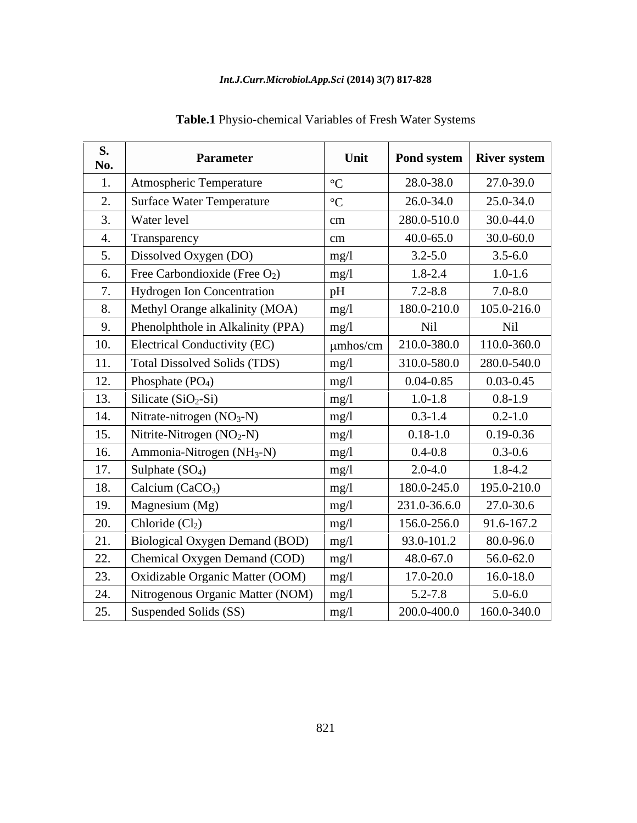### *Int.J.Curr.Microbiol.App.Sci* **(2014) 3(7) 817-828**

| <b>S.</b><br>No. | <b>Parameter</b>                              | Unit            |               | Pond system   River system |
|------------------|-----------------------------------------------|-----------------|---------------|----------------------------|
|                  | Atmospheric Temperature                       | $\rm ^{\circ}C$ | 28.0-38.0     | 27.0-39.0                  |
|                  | Surface Water Temperature                     | $\rm ^{\circ}C$ | 26.0-34.0     | 25.0-34.0                  |
|                  | <b>Water level</b>                            | cm              | 280.0-510.0   | 30.0-44.0                  |
|                  | Transparency                                  | cm              | $40.0 - 65.0$ | $30.0 - 60.0$              |
|                  | Dissolved Oxygen (DO)                         | mg/1            | $3.2 - 5.0$   | $3.5 - 6.0$                |
|                  | Free Carbondioxide (Free $O_2$ )              | mg/1            | 1.8-2.4       | $1.0 - 1.6$                |
|                  | Hydrogen Ion Concentration                    | pH              | $7.2 - 8.8$   | $7.0 - 8.0$                |
|                  | Methyl Orange alkalinity (MOA)                | mg/l            | 180.0-210.0   | 105.0-216.0                |
|                  | Phenolphthole in Alkalinity (PPA)             | mg/l            | Nil           | Nil                        |
| 10.              | Electrical Conductivity (EC)                  | $\mu$ mhos/cm   | 210.0-380.0   | 110.0-360.0                |
| 11.              | Total Dissolved Solids (TDS)                  | mg/l            | 310.0-580.0   | 280.0-540.0                |
| 12.              | Phosphate $(PO4)$                             | mg/l            | $0.04 - 0.85$ | $0.03 - 0.45$              |
| 13.              | Silicate $(SiO_2-Si)$                         | mg/1            | $1.0 - 1.8$   | $0.8 - 1.9$                |
| 14.              | Nitrate-nitrogen $(NO3-N)$                    | mg/l            | $0.3 - 1.4$   | $0.2 - 1.0$                |
| 15.              | Nitrite-Nitrogen $(NO2-N)$                    | mg/l            | $0.18 - 1.0$  | $0.19 - 0.36$              |
| 16.              | $\vert$ Ammonia-Nitrogen (NH <sub>3</sub> -N) | mg/l            | $0.4 - 0.8$   | $0.3 - 0.6$                |
| 17.              | Sulphate $(SO_4)$                             | mg/l            | $2.0 - 4.0$   | $1.8 - 4.2$                |
| 18.              | Calcium $(CaCO3)$                             | mg/l            | 180.0-245.0   | 195.0-210.0                |
| 19.              | Magnesium (Mg)                                | mg/l            | 231.0-36.6.0  | 27.0-30.6                  |
| 20.              | $\vert$ Chloride $\vert$ Cl <sub>2</sub> )    | mg/l            | 156.0-256.0   | 91.6-167.2                 |
| 21.              | Biological Oxygen Demand (BOD)   mg/l         |                 | 93.0-101.2    | 80.0-96.0                  |
| 22.              | Chemical Oxygen Demand (COD)                  | mg/l            | 48.0-67.0     | 56.0-62.0                  |
| 23.              | Oxidizable Organic Matter (OOM)               | mg/l            | 17.0-20.0     | 16.0-18.0                  |
| 24.              | Nitrogenous Organic Matter (NOM) $\mid$ mg/l  |                 | $5.2 - 7.8$   | $5.0 - 6.0$                |
| 25.              | Suspended Solids (SS)                         | mg/l            | 200.0-400.0   | 160.0-340.0                |

**Table.1** Physio-chemical Variables of Fresh Water Systems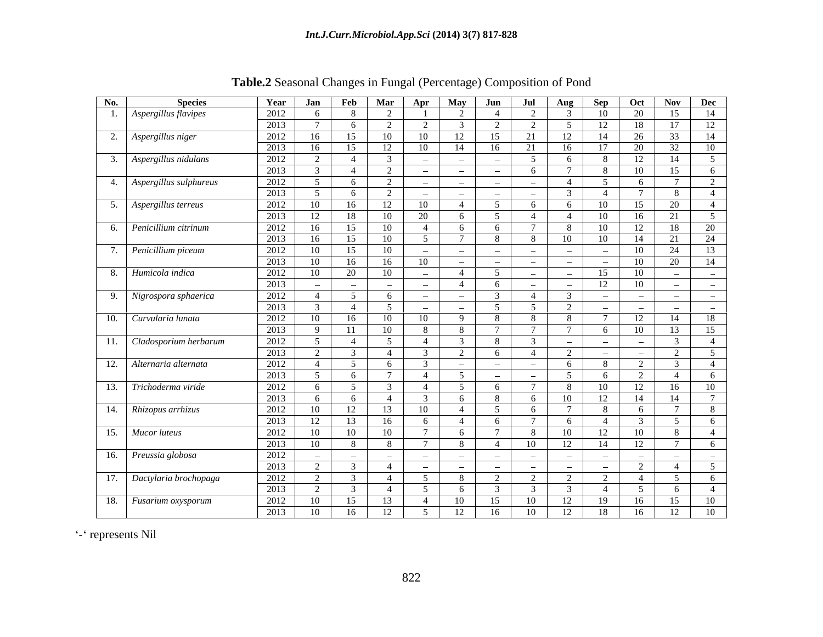| No. | <b>Species</b>                    | Year | Jan                      | Feb                      | Mar            | Apr                               | May            | Jun       | Jul                               | Aug            | Sep                            | Oct                               | <b>Nov</b>               | Dec                |
|-----|-----------------------------------|------|--------------------------|--------------------------|----------------|-----------------------------------|----------------|-----------|-----------------------------------|----------------|--------------------------------|-----------------------------------|--------------------------|--------------------|
|     | Aspergillus flavipes              | 2012 |                          | -8                       | $\mathcal{L}$  |                                   |                |           |                                   |                | 10                             | 20                                | 15                       | 14                 |
|     |                                   | 2013 |                          | -6                       | $\gamma$       |                                   |                | $\bigcap$ | $\sqrt{ }$                        | $\sim$         | 12                             | 18                                | 17                       | 12                 |
|     | 2. Aspergillus niger              | 2012 | 16                       | 15                       | 10             | 10                                | 12             | 15        | 21                                | 12             | 14                             | 26                                | 33                       | 14                 |
|     |                                   | 2013 | 16                       | 15                       | 12             | 10                                | 14             | 16        | 21                                | 16             | 17                             | 20                                | 32                       | 10                 |
|     | $\therefore$ Aspergillus nidulans | 2012 | $\bigcap$                |                          | $\mathcal{R}$  |                                   | $\sim$         | $\sim$    |                                   | -6             |                                | 12                                | -14                      | 5                  |
|     |                                   | 2013 |                          |                          | 2              |                                   | $\sim$         | $\sim$    |                                   | - 7            |                                | 10                                | 15                       | - 6                |
|     | 4. Aspergillus sulphureus         | 2012 |                          | -6                       | 2              |                                   | $\sim$         | $\sim$    |                                   | $\overline{4}$ |                                | - 6                               | $\overline{ }$           | $\gamma$<br>$\sim$ |
|     |                                   | 2013 |                          | - 6                      | 2              |                                   | $\sim$         | $\sim$    | $\sim$                            |                |                                |                                   | - 8                      | $\overline{4}$     |
|     | 5. Aspergillus terreus            | 2012 | -10                      | 16                       | 12             | 10                                | 4              | -5        | - 6 -                             | - 6            | 10                             | 15                                | 20                       | 4                  |
|     |                                   | 2013 | 12                       | 18                       | 10             | 20                                | - 6            | -5        | -4                                | $\overline{4}$ | 10                             | 16                                | 21                       | 5                  |
|     | 6. Penicillium citrinum           | 2012 | -16                      | 15                       | 10             | -4                                | - 6            | - 6       |                                   | - 8            | 10                             | 12                                | 18                       | 20                 |
|     |                                   | 2013 | 16                       | 15                       | 10             | - 5                               |                | - 8       | - 8                               | 10             | 10                             | 14                                | 21                       | 24                 |
|     | 7. Penicillium piceum             | 2012 | 10                       | 15                       | 10             | $\sim$                            | $\sim$         | $\sim$    | $\sim$ $ \sim$                    | $\sim$         | $\sim$                         | 10                                | 24                       | 13                 |
|     |                                   | 2013 | -10                      | 16                       | 16             | 10                                | $\sim$         | $\sim$    | $\sim$ $-$                        | $\sim$ $ \sim$ | $\overline{\phantom{a}}$       | 10                                | 20                       | 14                 |
|     | 8. Humicola indica                | 2012 | -10                      | 20                       | 10             | $\sim$                            | $\overline{4}$ | -5        | <b>Section</b>                    | $\sim$         | 15                             | 10                                | $\overline{\phantom{a}}$ | <b>Common</b>      |
|     |                                   | 2013 | $\overline{\phantom{a}}$ | $\sim$                   | $\sim$         | $\sim$                            | $\overline{4}$ | - 6       | $\sim$                            | $\sim$         | 12                             | 10                                | $\sim$                   | <b>Common</b>      |
|     | 9. Nigrospora sphaerica           | 2012 | $\overline{4}$           | $\sim$ 5                 | 6              | $\sim$                            | $\sim$         |           | $\sim$ 4                          | $\mathcal{R}$  | $\sim$                         | $\sim$                            | $\sim$                   | $\sim$ $-$         |
|     |                                   | 2013 |                          | $\sim$ 4                 | 5 <sup>5</sup> | $\sim$                            | $\sim$         | -5        | $\sim$ 5                          | 2              | $\overline{\phantom{a}}$       | $\sim$                            | $\sim$                   | $\sim$             |
|     | 10. Curvularia lunata             | 2012 | 10                       | 16                       | 10             | 10                                | $\mathbf{Q}$   | -8        | 8                                 | 8              | -7                             | 12                                | 14                       | 18                 |
|     |                                   | 2013 | - Q                      | 11                       | 10             | - 8 -                             | - 8            |           | $7\phantom{.0}$                   | $\overline{7}$ | -6                             | 10                                | 13                       | 15                 |
|     | 11. Cladosporium herbarum         | 2012 | -5                       | $\sim$ 4                 | 5              | -4                                | $\mathcal{R}$  | - 8       |                                   | $\sim$         | $\overline{\phantom{a}}$       | $\sim$                            |                          | $\sim$ 4           |
|     |                                   | 2013 | $\gamma$                 |                          | $\overline{4}$ |                                   | $\gamma$       | - 6       | 4                                 | 2              | $\overline{\phantom{a}}$       | $\sim$                            | 2                        | $\overline{5}$     |
|     | 12. Alternaria alternata          | 2012 | $\overline{4}$           | $\sqrt{5}$               | 6              |                                   | $\sim$         | $\sim$    | <b>Contract Contract Contract</b> | - 6            |                                | 2                                 |                          | $\overline{4}$     |
|     |                                   | 2013 |                          | - 6                      |                | $\overline{4}$                    | - 5            | $\sim$    | $\sim$                            | - 5            | - ո                            | 2                                 | $\overline{4}$           | - 6                |
|     | 13. Trichoderma viride            | 2012 |                          | $\sim$ 5                 | -3             | 4                                 | -5             | - 6       |                                   | - 8            | 10                             | 12                                | 16                       | 10                 |
|     |                                   | 2013 |                          | - 6                      | 4              |                                   | - 6            | - 8       | - 6                               | 10             | 12                             | 14                                | 14                       |                    |
|     | 14. Rhizopus arrhizus             | 2012 | -10                      | 12                       | 13             | - 10                              | 4              |           | - 6                               |                |                                | - 6                               |                          | - 8                |
|     |                                   | 2013 | 12                       | 13                       | 16             | - 6                               | $\overline{4}$ | -6        | $\overline{7}$                    | - 6            | $\overline{4}$                 |                                   | $\sim$                   | - 6                |
|     | 15. Mucor luteus                  | 2012 | -10                      | 10                       | 10             | $\overline{7}$                    | - 6            |           | - 8                               | 10             | 12                             | 10                                | - 8                      | $\sim$ 4           |
|     |                                   | 2013 | $\overline{10}$          | - 8                      | -8             | $\overline{7}$                    | - 8            | -4        | 10                                | 12             | 14                             | 12                                | $\mathcal{L}$            | - 6                |
|     | 16. Preussia globosa              | 2012 |                          | $\overline{\phantom{a}}$ | $\sim$         | <b>Contract Contract Contract</b> | $\sim$         | $\sim$    | $\sim$                            | $\sim$         | <b>Contract Contract State</b> | <b>Contract Contract Contract</b> | $\overline{\phantom{a}}$ | <b>Common</b>      |
|     |                                   | 2013 |                          |                          | $\overline{4}$ | <b>Contract Contract State</b>    | $\sim$         | سندر ا    | $\sim$                            | $\sim$         | $\sim$                         | $\gamma$                          | $\overline{4}$           | 5 <sup>5</sup>     |
|     | 17. Dactylaria brochopaga         | 2012 |                          |                          | 4              | - 5                               | -8             |           | $\gamma$                          | 2              | $\bigcap$                      | $\overline{4}$                    | $\sim$                   | 6                  |
|     |                                   | 2013 |                          | $\mathcal{R}$            | $\overline{4}$ | - 5                               | - 6            |           | $\mathcal{R}$                     | $\mathcal{R}$  | $\overline{4}$                 | $\sim$ 5                          | -6                       | $\overline{4}$     |
|     | 18. Fusarium oxysporum            | 2012 | 10                       | 15                       | 13             | $\overline{4}$                    | 10             | 15        | 10                                | 12             | 19                             | 16                                | 15                       | 10                 |
|     |                                   | 2013 | 10                       | 16                       | 12             | 5                                 | 12             | 16        | 10                                | 12             | 18                             | 16                                | 12                       | 10                 |

**Table.2** Seasonal Changes in Fungal (Percentage) Composition of Pond

- represents Nil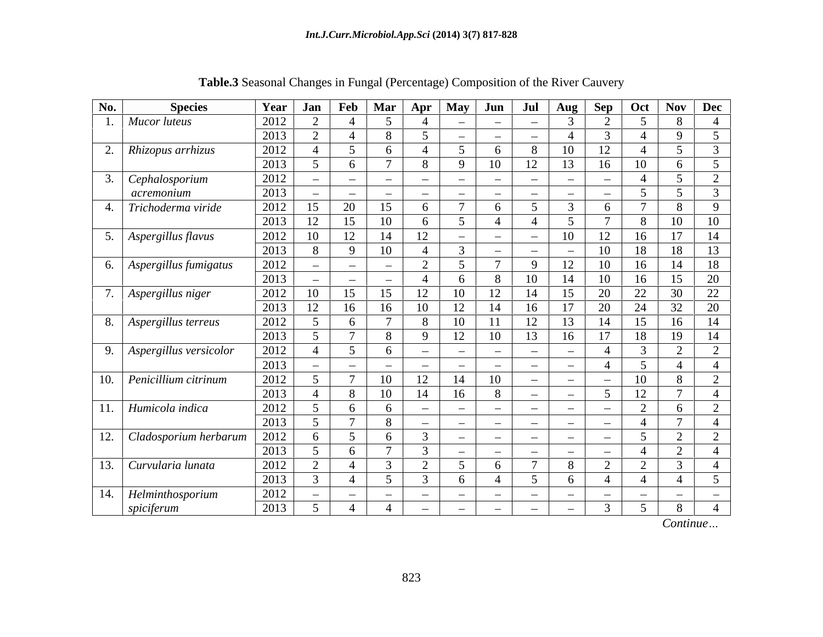| No.            | <b>Species</b>             | Year              | <b>Jan</b>    |                          | Feb   Mar                   | Apr                      | May                      | $1$ Jun         | Jul                      | $\mathbf{Aug}$ | Sep                      | Oct                        | Nov Dec                              |                 |
|----------------|----------------------------|-------------------|---------------|--------------------------|-----------------------------|--------------------------|--------------------------|-----------------|--------------------------|----------------|--------------------------|----------------------------|--------------------------------------|-----------------|
|                | Mucor luteus               | 2012              |               |                          | -5                          |                          | $\sim$                   | $\sim$          | $\sim$                   |                | $\Omega$                 | $5\overline{)}$            | 8                                    | -4              |
|                |                            | 2013              |               | $\overline{4}$           |                             | -5                       | $\sim$                   | $\sim$          | $\sim$                   |                | 3                        | $\overline{4}$             | $\mathbf{Q}$                         | 5               |
| z.             | Rhizopus arrhizus          | 2012              |               | 5                        | $\sqrt{2}$                  |                          |                          |                 | 8                        | 10             | 12                       | $\overline{4}$             | $\leq$                               | $\overline{3}$  |
|                |                            | 2013              |               | 6                        |                             | 8                        | $\mathbf{Q}$             | 10              | 12                       | 13             | 16                       | 10                         | 6                                    | 5               |
|                | Cephalosporium             | 2012              | <b>Common</b> | $\sim$                   | <b>Contract Contract</b>    | $\sim$                   | $\overline{\phantom{0}}$ | $\sim$          | $\frac{1}{2}$            | $\sim$         | $\sim$                   |                            | $\leq$                               | $\overline{2}$  |
|                | acremonium                 | 2013              | $\sim$        | $\sim$                   | $\sim$                      | $\sim$                   | $\sim$                   | $\sim$          | $\overline{\phantom{a}}$ | $\sim$         | $\overline{\phantom{a}}$ | $5\overline{)}$            | $\leq$                               | $\overline{3}$  |
|                | Trichoderma viride         | 2012              | 15            | 20                       | 15                          | -6                       | $\mathbf{\tau}$          | 6               | $5\overline{)}$          |                | 6                        | $\mathcal{L}$              | 8                                    | $\overline{9}$  |
|                |                            | 2013              | 12            | 15                       | 10                          | - 6                      | 5                        |                 | $\overline{4}$           | $\sim$         | $\overline{ }$           | -8                         | 10                                   | 10              |
| 5 <sub>1</sub> | Aspergillus flavus         | 2012              | 10            | 12                       | 14                          | 12                       | $\sim$                   | $\sim$          | $\sim$                   | 10             | 12                       | 16                         | 17                                   | 14              |
|                |                            | 2013              |               | 9                        | 10                          | -4                       | $\overline{3}$           | $\sim$          | $\sim$                   | $\sim$         | 10                       | 18                         | 18                                   | 13              |
|                | 6.   Aspergillus fumigatus | 2012              | $\sim$        | $\sim$                   | $\sim$                      | 2                        | 5                        |                 | -9                       | 12             | 10                       | 16                         | 14                                   | 18              |
|                |                            | 2013              | $\sim$        | $\overline{\phantom{a}}$ | $\sim$                      |                          | - h                      |                 | $10\,$                   | 14             |                          | 16                         | 15                                   | 20              |
|                | Aspergillus niger          | 2012              | 10            | 15                       | 15                          | 12                       | 10                       | $12^{\circ}$    | 14                       | 15             | 20                       | 22                         | 30                                   | 22              |
|                |                            | 2013              | 12            | 16                       | 16                          | 10                       | 12                       | 14              | 16                       | 17             | 20                       | 24                         | 32                                   | 20              |
|                | 8. Aspergillus terreus     | 2012              |               | 6                        |                             | -8                       | 10                       |                 | 12                       | 13             | 14                       | 15                         | 16                                   | 14              |
|                |                            | 2013              |               | $\tau$                   |                             | $\mathbf{Q}$             | 12                       | 10              | 13                       | 16             | 17                       | 18                         | 19                                   | 14              |
| 9.             | Aspergillus versicolor     | $20\overline{12}$ |               | $5\overline{)}$          | -6                          | $\sim$                   | <b>Contract Contract</b> | $\sim$          | $\overline{\phantom{a}}$ | $\sim$         |                          | $\overline{3}$             | $\bigcap$                            | 2               |
|                |                            | 2013              | $\sim$        | $\sim$                   | $\sim$                      | $\sim$                   | $\overline{\phantom{a}}$ | <b>Contract</b> | $\sim$                   | $\sim$         |                          | $5\overline{)}$            | $\overline{\phantom{0}}$             | $\overline{4}$  |
| 10.            | Penicillium citrinum       | 2012              |               | $\overline{7}$           | 10                          | 12                       | 14                       | 10              | $\sim$                   | $\sim$         | $\sim$                   | 10                         | 8                                    | $\overline{2}$  |
|                |                            | 2013              |               | 8                        | 10                          | 14                       | 16                       | 8               | $\sim$                   | $\sim$         | -5                       | 12                         | $\overline{ }$                       | $\overline{4}$  |
| 11.            | Humicola indica            | 2012              |               | 6                        |                             | $\sim$                   |                          |                 |                          | $\sim$         | $\sim$                   | 2                          | 6                                    | 2               |
|                |                            | 2013              |               | $\mathbf{z}$             | $\sigma$                    |                          | $\sim$                   | $\sim$          | $\sim$                   |                |                          | $\overline{4}$             | $\overline{a}$                       | $\overline{4}$  |
|                |                            | 2012              |               | 5                        |                             | $\sim$                   | $\sim$                   | $\sim$          | $\sim$                   | $\sim$         | $\sim$                   | $\sim$ 5                   | $\bigcap$                            | $\bigcap$       |
| 12.            | Cladosporium herbarum      |                   |               |                          | $\sqrt{2}$<br>$\mathcal{L}$ | $\mathcal{R}$            | $\sim$                   | $\sim$          | $\frac{1}{2}$            | $\sim$         | $\sim$                   |                            | $\overline{\phantom{0}}$<br>$\gamma$ | $\overline{ }$  |
|                |                            | 2013              |               | 6                        |                             | $\bigcap$                | $\overline{\phantom{0}}$ | $\sim$          | $\sim$<br>$\mathcal{I}$  | $\sim$         | $\sim$<br>$\Omega$       | $\overline{4}$<br>$\gamma$ | $\overline{ }$<br>$\mathbf{r}$       | $\overline{4}$  |
| 13.            | Curvularia lunata          | 2012              |               |                          |                             |                          | -5                       | 6               |                          | 8              | ∠                        | $\overline{a}$             |                                      | $\overline{4}$  |
|                |                            | 2013              |               |                          | -5                          | $\mathcal{R}$            | -6                       |                 | $5\overline{)}$          |                |                          | 4                          |                                      | $5\overline{)}$ |
|                | 14. Helminthosporium       | 2012              | $\sim$        | $\sim$                   | <b>Common</b>               | $\overline{\phantom{0}}$ | <b>Contract Contract</b> | $\sim$          | $\overline{\phantom{a}}$ | $\sim$         | $\sim$                   | $\sim$                     | $\sim$                               | $\sim$          |
|                | spiciferum                 | 2013              |               |                          |                             |                          | $\sim$                   | $\sim$          | $\equiv$                 | $\sim$         | $\mathcal{E}$            | 5 <sup>5</sup>             | 8                                    | $\overline{4}$  |

**Table.3** Seasonal Changes in Fungal (Percentage) Composition of the River Cauvery

*Continue*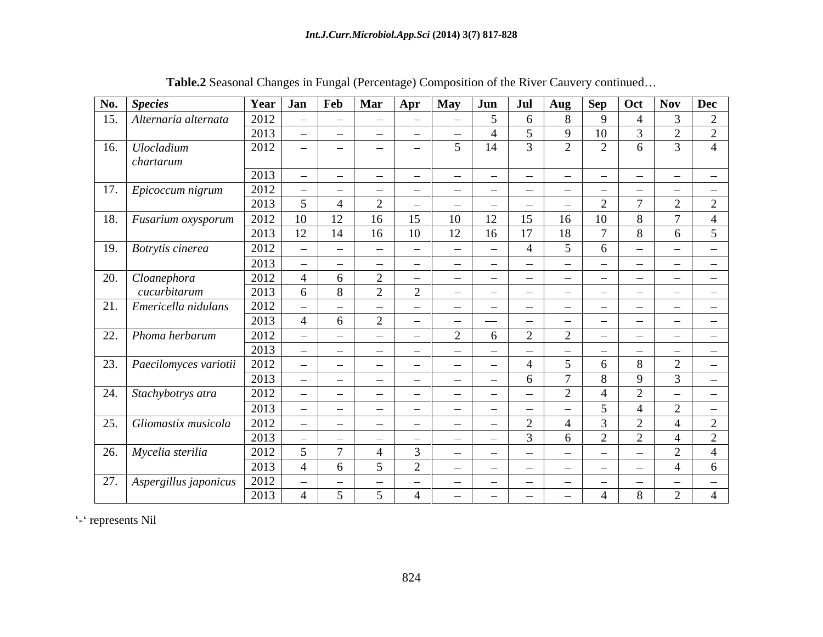|                   | No. Species                          |                          |                          | Year $\vert$ Jan $\vert$ Feb $\vert$ Mar |                          | Apr                      | <b>May</b>               | Jun                      | Jul            | Aug Sep                  |                | $\vert$ Oct   | $\log$ Dec                  |                 |
|-------------------|--------------------------------------|--------------------------|--------------------------|------------------------------------------|--------------------------|--------------------------|--------------------------|--------------------------|----------------|--------------------------|----------------|---------------|-----------------------------|-----------------|
|                   | 15. Alternaria alternata             | 2012                     | $\sim$                   | <b>Contract Contract</b>                 | <b>Contract Contract</b> | <b>Contract Contract</b> | <b>Contract Contract</b> | $\leq$                   | -6             | 8                        | - 9            |               |                             | $\overline{2}$  |
|                   |                                      | 2013                     | $\sim$                   | $\sim$                                   | $\sim$                   | $\sim$                   | $\sim$                   |                          | $\overline{5}$ | 9                        | 10             |               | $\bigcap$                   | 2               |
| 16.               | <b>Ulocladium</b>                    | 2012                     | $\overline{\phantom{a}}$ | $\sim$                                   | $\sim$                   | $\sim$                   | $\sim$                   | 14                       | 3              | 2                        | 2              | 6             | 3                           | $\overline{4}$  |
|                   | chartarum                            |                          |                          |                                          |                          |                          |                          |                          |                |                          |                |               |                             |                 |
|                   |                                      | 2013                     | $\sim$                   | <b>Contract Contract</b>                 | $\sim$ $-$               | $\sim$                   | $\sim$                   | $\sim$                   | $\sim$         | $\sim$                   | $\sim$         | $\sim$        | $\sim$                      | $\sim$          |
| 17.               | Epicoccum nigrum                     | 2012                     | $\hspace{0.1mm}$         | $\overline{\phantom{0}}$                 | $\sim$                   | $\sim$                   | $\overline{\phantom{0}}$ | $\sim$                   | $\sim$         | $\hspace{0.1mm}$         | $\sim$         | $\sim$        | $\sim$                      | $\sim$          |
|                   |                                      | 2013                     | 5                        |                                          | $\bigcap$                | $\sim$                   | $\sim$                   | $\overline{\phantom{a}}$ | $\sim$         | $\overline{\phantom{a}}$ | $\overline{2}$ |               | $\bigcap$<br>$\overline{L}$ | 2               |
| 18.               | Fusarium oxysporum                   | 2012                     | $10\,$                   | 12                                       | 16                       | 15                       | 10                       | 12                       | 15             | 16                       | 10             | 8             | $\overline{7}$              | $\overline{4}$  |
|                   |                                      | 2013                     | 12                       | 14                                       | 16                       | 10                       | 12                       | 16                       | 17             | 18                       | -7             | 8             | -6                          | $5\overline{)}$ |
|                   | $\lceil 19. \rceil$ Botrytis cinerea | 2012                     | $\hspace{0.1mm}$         | $\sim$                                   | $\sim$                   | $\sim$                   | $\sim$                   | $\overline{\phantom{a}}$ | $\overline{4}$ | $\leq$                   | -6             | $\sim$        | $\sim$                      | $\sim$          |
|                   |                                      | 2013                     | $\sim$                   | $\sim$                                   | $\sim$                   | $\sim$                   | $\sim$                   | $\sim$                   | $\sim$         | $\sim$                   | $\sim$         | $\sim$        | <b>Contract Contract</b>    | $\sim$          |
|                   | 20. Cloanephora                      |                          |                          |                                          | $\bigcap$                | $\sim$                   | $\sim$                   | $\sim$                   | $\sim$         | $\sim$                   | $\sim$         | $\sim$ $\sim$ | <b>Common</b>               | $\sim$          |
|                   | cucurbitarum                         | $\frac{2012}{2013}$      | 6                        | 8                                        | $\bigcap$                | 2                        | $\overline{\phantom{a}}$ | $\sim$                   | $\sim$         | $\overline{\phantom{a}}$ | $\sim$         | $\sim$        | $\sim$                      | $\sim$          |
| 21.               | Emericella nidulans                  | 2012                     | $\hspace{0.1mm}$         | <b>Contract Contract</b>                 | $\sim$                   | $\sim$                   | $\sim$                   | $\sim$                   | $\sim$         | $\overline{\phantom{a}}$ | $\sim$         | $\sim$ $\sim$ | <b>Contract Contract</b>    | $\sim$          |
|                   |                                      | 2013                     | $\overline{4}$           |                                          | $\bigcap$                |                          | $\sim$                   |                          |                |                          |                |               |                             |                 |
|                   |                                      |                          |                          |                                          |                          | $\sim$                   | $\gamma$                 | $\overline{\phantom{a}}$ | $\sim$         | $\sim$                   | $\sim$         | $\sim$        | <b>Contract Contract</b>    | $\sim$          |
| $\overline{22}$ . | $\Box$ Phoma herbarum                | 2012<br>$\frac{1}{2013}$ | $\equiv$                 | <b>Contract Contract</b>                 | $\sim$                   | $\sim$                   |                          | -6                       | 2              | 2                        | $\sim$         | $\sim$        | <b>Contract Contract</b>    | $\sim$          |
|                   |                                      |                          | $\hspace{0.1mm}$         | $\sim$                                   | $\sim$                   | $\sim$                   | $\sim$                   | $\sim$                   | $\sim$         | $\overline{\phantom{a}}$ | $\sim$         | $\sim$        | $\sim$<br>$\bigcap$         | $\sim$          |
| 23.               | Paecilomyces variotii                | 2012                     | $\overline{\phantom{m}}$ | $\sim$                                   | $\sim$                   | $\sim$                   | <b>Contract Contract</b> | $\sim$                   |                | $\sim$                   | -6             | 8             |                             | $\equiv$        |
|                   |                                      | 2013                     | $\sim$                   | $\sim$                                   | $\sim$                   | $\sim$                   | $\sim$                   | $\sim$                   | -6             | $\mathbf{\tau}$          | 8              | $\mathbf Q$   | -3                          | $\sim$          |
| $\overline{24}$ . | Stachybotrys atra                    | 2012                     | $\sim$                   | $\sim$                                   | $\sim$                   | $\sim$                   | $\sim$                   | $\overline{\phantom{a}}$ | $\sim$         | 2                        | $\overline{4}$ | $\bigcap$     | $\sim$                      | $\sim$          |
|                   |                                      | 2013                     | $\sim$                   | <b>Contract Contract</b>                 | $\sim$                   | $\sim$                   | $\sim$                   | $\sim$                   | $\sim$         | $\overline{\phantom{a}}$ | - 5            |               | ി                           | $\sim$          |
| 25.               | Gliomastix musicola                  | 2012                     | $\overline{\phantom{a}}$ | $\sim$                                   | $\sim$                   | $\sim$                   | $\sim$                   | $\sim$                   | $\bigcap$      |                          | -3             | $\bigcap$     |                             | 2               |
|                   |                                      | 2013                     | $\sim$                   | $\sim$                                   | $\sim$                   | $\sim$                   | $\sim$                   | $\sim$                   | $\mathcal{R}$  | 6                        | 2              | $\bigcap$     |                             | 2               |
|                   | 26.   Mycelia sterilia               | 2012                     |                          |                                          |                          | 3                        |                          | $\sim$                   | $\sim$         | $\overline{\phantom{a}}$ | $\sim$         | $\sim$        |                             | $\overline{4}$  |
|                   |                                      | 2013                     | $\overline{4}$           |                                          | $\sim$ 5                 | 2                        | $\sim$                   | $\overline{\phantom{a}}$ | $\sim$         | $\sim$                   | $\sim$         | $\sim$        | $\overline{4}$              | 6               |
| 27.               | Aspergillus japonicus                | 2012                     | $\hspace{0.1mm}$         | <b>Contract Contract Contract</b>        | $\sim$                   | $\sim$                   | $\sim$                   | $\overline{\phantom{a}}$ | $\sim$         | $\frac{1}{2}$            | $\sim$         | $\sim$        | $\sim$                      | $\sim$          |
|                   |                                      | 2013                     | $\overline{4}$           |                                          |                          |                          | $\sim$                   | $\sim$                   | $\sim$         | $\sim$                   | $\overline{4}$ | 8             | 2                           | $\overline{4}$  |

**Table.2** Seasonal Changes in Fungal (Percentage) Composition of the River Cauvery continued

- represents Nil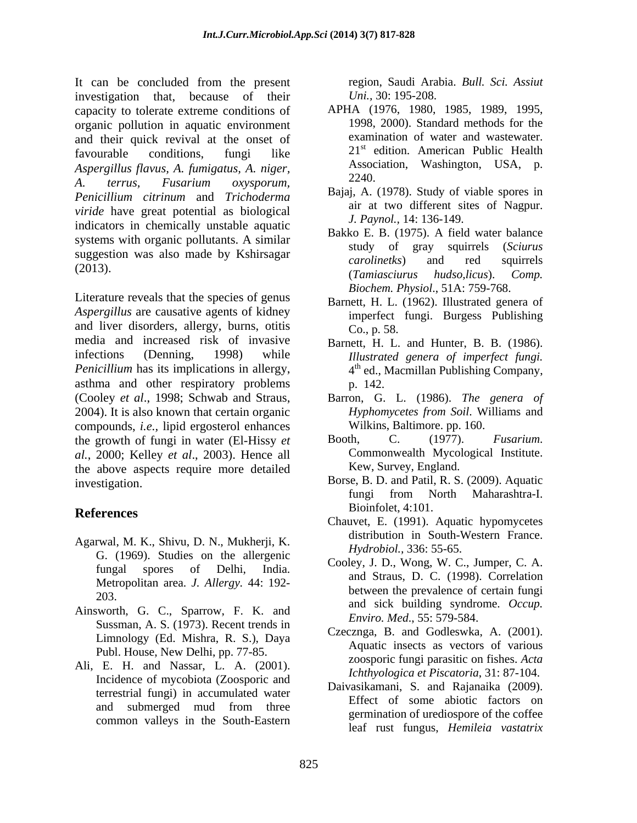It can be concluded from the present region, Saudi Arabia. Bull. Sci. Assiut investigation that, because of their capacity to tolerate extreme conditions of organic pollution in aquatic environment and their quick revival at the onset of favourable conditions, fungi like 21<sup>th</sup> edition. American Public Health *Aspergillus flavus, A. fumigatus, A. niger, A. terrus, Fusarium oxysporum, Penicillium citrinum* and *Trichoderma viride* have great potential as biological indicators in chemically unstable aquatic systems with organic pollutants. A similar<br>study of gray squirrels (Sciurus suggestion was also made by Kshirsagar<br>carolinetes) and red squirrels  $\frac{1}{2013}$ . ( $\frac{1}{2010}$   $\frac{1}{2010}$   $\frac{1}{2010}$   $\frac{1}{2010}$   $\frac{1}{2010}$   $\frac{1}{2010}$   $\frac{1}{2010}$   $\frac{1}{2010}$   $\frac{1}{2010}$   $\frac{1}{2010}$   $\frac{1}{2010}$   $\frac{1}{2010}$   $\frac{1}{2010}$   $\frac{1}{2010}$   $\frac{1}{2010}$   $\frac{1}{2010}$ 

Literature reveals that the species of genus *Aspergillus* are causative agents of kidney and liver disorders, allergy, burns, otitis  $C_{0.} p. 58$ . media and increased risk of invasive Barnett, H. L. and Hunter, B. B. (1986). infections (Denning, 1998) while *Illustrated genera of imperfect fungi. Penicillium* has its implications in allergy, asthma and other respiratory problems p. 142. (Cooley *et al*., 1998; Schwab and Straus, Barron, G. L. (1986). *The genera of* 2004). It is also known that certain organic compounds, *i.e.,* lipid ergosterol enhances the growth of fungi in water (El-Hissy *et* Booth, C. (1977). *Fusarium.*<br> *al* 2000: Kelley *et al* 2003) Hence all Commonwealth Mycological Institute. *al.*, 2000; Kelley *et al.*, 2003). Hence all the above aspects require more detailed investigation. Borse, B. D. and Patil, R. S. (2009). Aquatic

- Agarwal, M. K., Shivu, D. N., Mukherji, K. G. (1969). Studies on the allergenic Metropolitan area. *J. Allergy.* 44: 192-
- Ainsworth, G. C., Sparrow, F. K. and Sussman, A. S. (1973). Recent trends in Limnology (Ed. Mishra, R. S.), Daya Publ. House, New Delhi, pp. 77-85.
- Ali, E. H. and Nassar, L. A. (2001). Incidence of mycobiota (Zoosporic and terrestrial fungi) in accumulated water common valleys in the South-Eastern

region, Saudi Arabia. *Bull. Sci. Assiut Uni.,* 30: 195-208.

- APHA (1976, 1980, 1985, 1989, 1995, 1998, 2000). Standard methods for the examination of water and wastewater. 21<sup>st</sup> edition. American Public Health Association, Washington, USA, p. 2240.
- Bajaj, A. (1978). Study of viable spores in air at two different sites of Nagpur. *J. Paynol.,* 14: 136-149.
- Bakko E. B. (1975). A field water balance study of gray squirrels (*Sciurus carolinetks*) and red squirrels (*Tamiasciurus hudso,licus*). *Comp. Biochem. Physiol*., 51A: 759-768.
- Barnett, H. L. (1962). Illustrated genera of imperfect fungi. Burgess Publishing Co., p. 58.
- 4 th ed., Macmillan Publishing Company, p. 142.
- *Hyphomycetes from Soil*. Williams and Wilkins, Baltimore. pp. 160.
- Booth, C. (1977). *Fusarium*. Commonwealth Mycological Institute. Kew, Survey, England.
- **References** BIOINIQUE, 4:101. fungi from North Maharashtra-I. Bioinfolet, 4:101.
	- Chauvet, E. (1991). Aquatic hypomycetes distribution in South-Western France. *Hydrobiol.,* 336: 55-65.
	- fungal spores of Delhi, India. Cooley, J. D., Wong, W. C., Jumper, C. A. 203.<br>and sick building syndrome. *Occup*. Cooley, J. D., Wong, W. C., Jumper, C. A. and Straus, D. C. (1998). Correlation between the prevalence of certain fungi *Enviro. Med*., 55: 579-584.
		- Czecznga, B. and Godleswka, A. (2001). Aquatic insects as vectors of various zoosporic fungi parasitic on fishes. *Acta Ichthyologica et Piscatoria*, 31: 87-104.
	- and submerged mud from three EILCL of some about factors on Daivasikamani, S. and Rajanaika (2009). Effect of some abiotic factors on germination of urediospore of the coffee leaf rust fungus, *Hemileia vastatrix*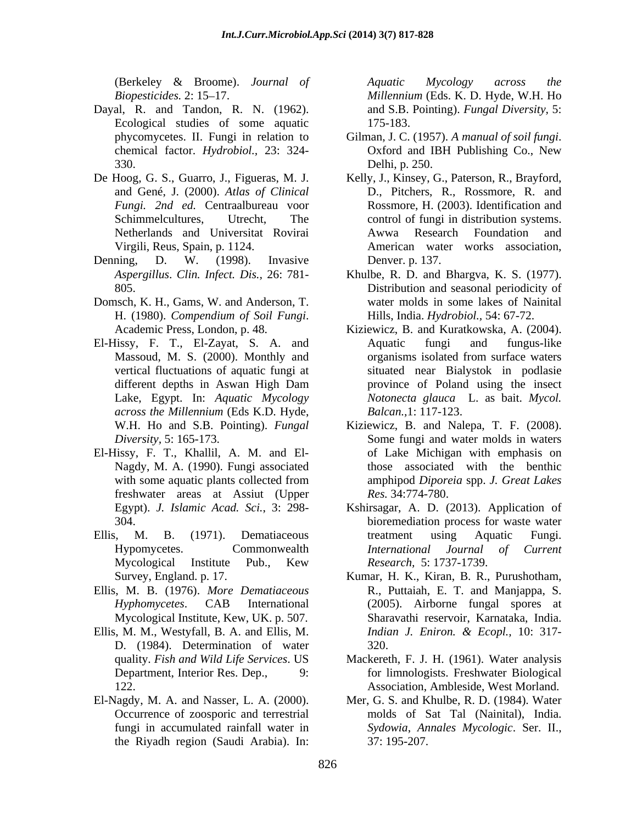- Dayal, R. and Tandon, R. N. (1962). Ecological studies of some aquatic 330. Delhi, p. 250.
- De Hoog, G. S., Guarro, J., Figueras, M. J. *Fungi. 2nd ed.* Centraalbureau voor
- Denning, D. W. (1998). Invasive Denver. p. 137.
- Domsch, K. H., Gams, W. and Anderson, T. H. (1980). *Compendium of Soil Fungi*. Hills, India. *Hydrobiol.*, 54: 67-72.<br>Academic Press, London, p. 48. Kiziewicz, B. and Kuratkowska, A. (2004).
- El-Hissy, F. T., El-Zayat, S. A. and *across the Millennium* (Eds K.D. Hyde,
- El-Hissy, F. T., Khallil, A. M. and El freshwater areas at Assiut (Upper
- 
- Ellis, M. B. (1976). *More Dematiaceous*
- Ellis, M. M., Westyfall, B. A. and Ellis, M. *Indian J. Eniron. & Ecopl.*, 10: 317-D. (1984). Determination of water
- the Riyadh region (Saudi Arabia). In:

(Berkeley & Broome). *Journal of Biopesticides.* 2: 15 17. *Millennium* (Eds. K. D. Hyde, W.H. Ho *Aquatic Mycology across the*  and S.B. Pointing). *Fungal Diversity,* 5: 175-183.

- phycomycetes. II. Fungi in relation to Gilman, J. C. (1957). A manual of soil fungi. chemical factor. *Hydrobiol.,* 23: 324- Gilman, J. C. (1957). *A manual of soil fungi*. Oxford and IBH Publishing Co., New Delhi, p. 250.
- and Gené, J. (2000). *Atlas of Clinical* D., Pitchers, R., Rossmore, R. and Schimmelcultures, Utrecht, The control of fungi in distribution systems. Netherlands and Universitat Rovirai Virgili, Reus, Spain, p. 1124. American water works association, Kelly, J., Kinsey, G., Paterson, R., Brayford, Rossmore, H. (2003). Identification and Awwa Research Foundation and Denver. p. 137.
- *Aspergillus*. *Clin. Infect. Dis.,* 26: 781- Khulbe, R. D. and Bhargva, K. S. (1977). 805. Distribution and seasonal periodicity of water molds in some lakes of Nainital Hills, India. *Hydrobiol.,* 54: 67-72.
- Massoud, M. S. (2000). Monthly and organisms isolated from surface waters vertical fluctuations of aquatic fungi at situated near Bialystok in podlasie different depths in Aswan High Dam Lake, Egypt. In: *Aquatic Mycology Notonecta glauca* L. as bait. *Mycol.*  Kiziewicz, B. and Kuratkowska, A. (2004). Aquatic fungi and fungus-like organisms isolated from surface waters province of Poland using the insect *Balcan.,*1: 117-123.
- W.H. Ho and S.B. Pointing). *Fungal*  Kiziewicz, B. and Nalepa, T. F. (2008). *Diversity*, 5: 165-173. Some fungi and water molds in waters Nagdy, M. A. (1990). Fungi associated those associated with the benthic with some aquatic plants collected from amphipod Diporeia spp. J. Great Lakes of Lake Michigan with emphasis on amphipod *Diporeia* spp. *J. Great Lakes Res.* 34:774-780.
- Egypt). *J. Islamic Acad. Sci.*, 3: 298- Kshirsagar, A. D. (2013). Application of 304. bioremediation process for waste water Ellis, M. B. (1971). Dematiaceous treatment using Aquatic Fungi. Hypomycetes. Commonwealth *International Journal of Current* Mycological Institute Pub., Kew Research, 5:1737-1739. treatment using Aquatic Fungi. *International Journal of Current Research,* 5: 1737-1739.
	- Survey, England. p. 17. Kumar, H. K., Kiran, B. R., Purushotham, *Hyphomycetes*. CAB International (2005). Airborne fungal spores at Mycological Institute, Kew, UK. p. 507. Sharavathi reservoir, Karnataka, India. R., Puttaiah, E. T. and Manjappa, S. *Indian J. Eniron. & Ecopl.,* 10: 317- 320.
	- quality. *Fish and Wild Life Services*. US Mackereth, F. J. H. (1961). Water analysis Department, Interior Res. Dep., 9: for limnologists. Freshwater Biological 122. Association, Ambleside, West Morland.
- El-Nagdy, M. A. and Nasser, L. A. (2000). Mer, G. S. and Khulbe, R. D. (1984). Water Occurrence of zoosporic and terrestrial and molds of Sat Tal (Nainital), India. fungi in accumulated rainfall water in Sydowia, Annales Mycologic. Ser. II., 37: 195-207.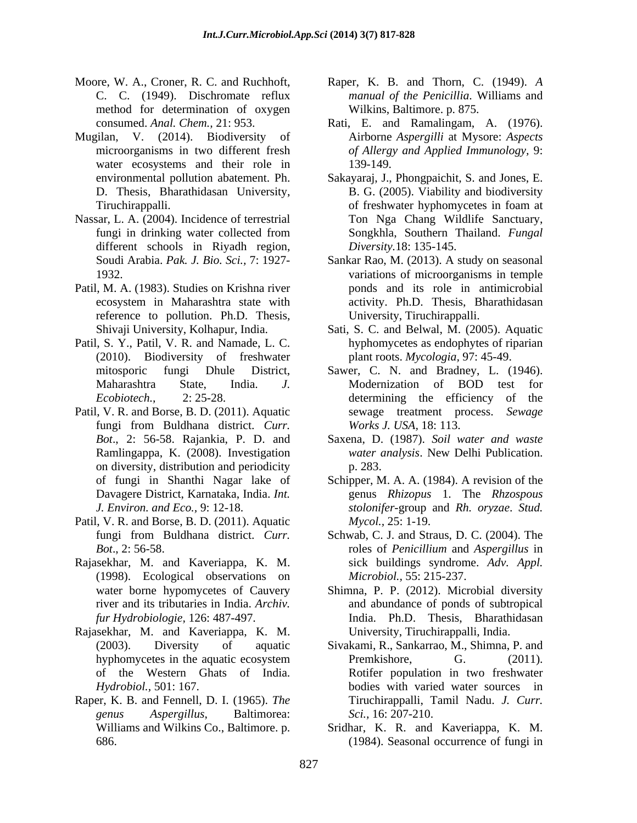- Moore, W. A., Croner, R. C. and Ruchhoft, Raper, K. B. and Thorn, C. (1949). *A*  method for determination of oxygen
- Mugilan, V. (2014). Biodiversity of water ecosystems and their role in 139-149.
- different schools in Riyadh region,
- Patil, M. A. (1983). Studies on Krishna river reference to pollution. Ph.D. Thesis,
- Patil, S. Y., Patil, V. R. and Namade, L. C.
- Patil, V. R. and Borse, B. D. (2011). Aquatic fungi from Buldhana district. *Curr. Bot*., 2: 56-58. Rajankia, P. D. and on diversity, distribution and periodicity p. 283.
- Patil, V. R. and Borse, B. D. (2011). Aquatic
- Rajasekhar, M. and Kaveriappa, K. M. (1998). Ecological observations on
- Rajasekhar, M. and Kaveriappa, K. M.
- Raper, K. B. and Fennell, D. I. (1965). *The*
- C. C. (1949). Dischromate reflux *manual of the Penicillia*. Williams and Wilkins, Baltimore. p. 875.
- consumed. *Anal. Chem.,* 21: 953. Rati, E. and Ramalingam, A. (1976). microorganisms in two different fresh *of Allergy and Applied Immunology,* 9: Airborne *Aspergilli* at Mysore: *Aspects*  139-149.
- environmental pollution abatement. Ph. Sakayaraj, J., Phongpaichit, S. and Jones, E. D. Thesis, Bharathidasan University, B. G. (2005). Viability and biodiversity Tiruchirappalli. Tiruchirappalli. The set of the set of freshwater hyphomycetes in foam at Nassar, L. A. (2004). Incidence of terrestrial Ton Nga Chang Wildlife Sanctuary, fungi in drinking water collected from Songkhla, Southern Thailand. Fungal of freshwater hyphomycetes in foam at Songkhla, Southern Thailand. *Fungal Diversity.*18: 135-145.
	- Soudi Arabia. *Pak. J. Bio. Sci.,* 7: 1927- Sankar Rao, M. (2013). A study on seasonal 1932. variations of microorganisms in temple ecosystem in Maharashtra state with activity. Ph.D. Thesis, Bharathidasan ponds and its role in antimicrobial University, Tiruchirappalli.
	- Shivaji University, Kolhapur, India. Sati, S. C. and Belwal, M. (2005). Aquatic (2010). Biodiversity of freshwater plant roots. *Mycologia,* 97: 45-49. hyphomycetes as endophytes of riparian
	- mitosporic fungi Dhule District, Sawer, C. N. and Bradney, L. (1946). Maharashtra State, India. *J. Ecobiotech.,* 2: 25-28. determining the efficiency of the Modernization of BOD test for sewage treatment process. *Sewage Works J. USA,* 18: 113.
	- Ramlingappa, K. (2008). Investigation *water analysis*. New Delhi Publication. Saxena, D. (1987). *Soil water and waste* p. 283.
	- of fungi in Shanthi Nagar lake of Schipper, M. A. A. (1984). A revision of the Davagere District, Karnataka, India. *Int.*  genus *Rhizopus* 1. The *Rhzospous J. Environ. and Eco.,* 9: 12-18. *stolonifer*-group and *Rh. oryzae*. *Stud. Mycol.,* 25: 1-19.
	- fungi from Buldhana district. *Curr.*  Schwab, C. J. and Straus, D. C. (2004). The *Bot*., 2: 56-58. roles of *Penicillium* and *Aspergillus* in sick buildings syndrome. *Adv. Appl. Microbiol.,* 55: 215-237.
	- water borne hypomycetes of Cauvery Shimna, P. P. (2012). Microbial diversity river and its tributaries in India. *Archiv.*  and abundance of ponds of subtropical *fur Hydrobiologie,* 126: 487-497. India. Ph.D. Thesis, Bharathidasan University, Tiruchirappalli, India.
	- (2003). Diversity of aquatic Sivakami, R., Sankarrao, M., Shimna, P. and hyphomycetes in the aquatic ecosystem Premkishore, G. (2011). of the Western Ghats of India. Rotifer population in two freshwater *Hydrobiol.,* 501: 167. bodies with varied water sources in *genus Aspergillus*, Baltimorea: Premkishore, G. (2011). Tiruchirappalli, Tamil Nadu. *J. Curr. Sci.,* 16: 207-210.
	- Williams and Wilkins Co., Baltimore. p. Sridhar, K. R. and Kaveriappa, K. M. 686. (1984). Seasonal occurrence of fungi in